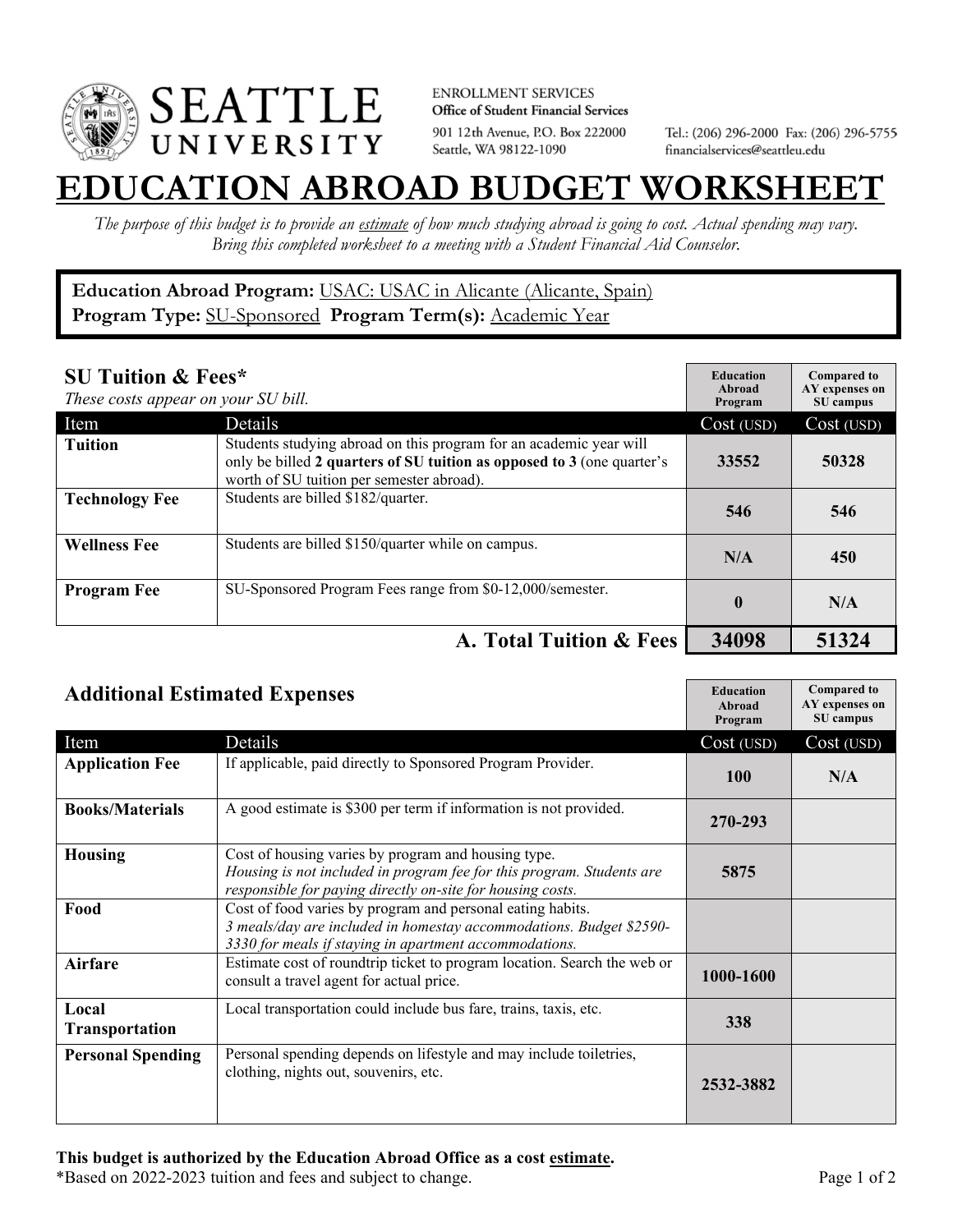

**ENROLLMENT SERVICES** Office of Student Financial Services 901 12th Avenue, P.O. Box 222000 Seattle, WA 98122-1090

Tel.: (206) 296-2000 Fax: (206) 296-5755 financialservices@seattleu.edu

## **EATION ABROAD BUDGET WORKSHEE**

*The purpose of this budget is to provide an estimate of how much studying abroad is going to cost. Actual spending may vary. Bring this completed worksheet to a meeting with a Student Financial Aid Counselor.* 

## **Education Abroad Program:** USAC: USAC in Alicante (Alicante, Spain) **Program Type:** SU-Sponsored **Program Term(s):** Academic Year

| <b>SU Tuition &amp; Fees*</b><br>These costs appear on your SU bill. |                                                                                                                                                                                           | <b>Education</b><br>Abroad<br>Program | <b>Compared to</b><br>AY expenses on<br>SU campus |
|----------------------------------------------------------------------|-------------------------------------------------------------------------------------------------------------------------------------------------------------------------------------------|---------------------------------------|---------------------------------------------------|
| Item                                                                 | Details                                                                                                                                                                                   | Cost (USD)                            | Cost (USD)                                        |
| <b>Tuition</b>                                                       | Students studying abroad on this program for an academic year will<br>only be billed 2 quarters of SU tuition as opposed to 3 (one quarter's<br>worth of SU tuition per semester abroad). | 33552                                 | 50328                                             |
| <b>Technology Fee</b>                                                | Students are billed \$182/quarter.                                                                                                                                                        | 546                                   | 546                                               |
| <b>Wellness Fee</b>                                                  | Students are billed \$150/quarter while on campus.                                                                                                                                        | N/A                                   | 450                                               |
| <b>Program Fee</b>                                                   | SU-Sponsored Program Fees range from \$0-12,000/semester.                                                                                                                                 | $\mathbf 0$                           | N/A                                               |
|                                                                      | A. Total Tuition & Fees                                                                                                                                                                   | 34098                                 | 51324                                             |

| <b>Additional Estimated Expenses</b> |                                                                                                                                                                                             | <b>Education</b><br>Abroad<br>Program | <b>Compared to</b><br>AY expenses on<br>SU campus |
|--------------------------------------|---------------------------------------------------------------------------------------------------------------------------------------------------------------------------------------------|---------------------------------------|---------------------------------------------------|
| Item                                 | Details                                                                                                                                                                                     | Cost (USD)                            | Cost (USD)                                        |
| <b>Application Fee</b>               | If applicable, paid directly to Sponsored Program Provider.                                                                                                                                 | <b>100</b>                            | N/A                                               |
| <b>Books/Materials</b>               | A good estimate is \$300 per term if information is not provided.                                                                                                                           | 270-293                               |                                                   |
| <b>Housing</b>                       | Cost of housing varies by program and housing type.<br>Housing is not included in program fee for this program. Students are<br>responsible for paying directly on-site for housing costs.  | 5875                                  |                                                   |
| Food                                 | Cost of food varies by program and personal eating habits.<br>3 meals/day are included in homestay accommodations. Budget \$2590-<br>3330 for meals if staying in apartment accommodations. |                                       |                                                   |
| Airfare                              | Estimate cost of roundtrip ticket to program location. Search the web or<br>consult a travel agent for actual price.                                                                        | 1000-1600                             |                                                   |
| Local<br>Transportation              | Local transportation could include bus fare, trains, taxis, etc.                                                                                                                            | 338                                   |                                                   |
| <b>Personal Spending</b>             | Personal spending depends on lifestyle and may include toiletries,<br>clothing, nights out, souvenirs, etc.                                                                                 | 2532-3882                             |                                                   |

\*Based on 2022-2023 tuition and fees and subject to change. Page 1 of 2